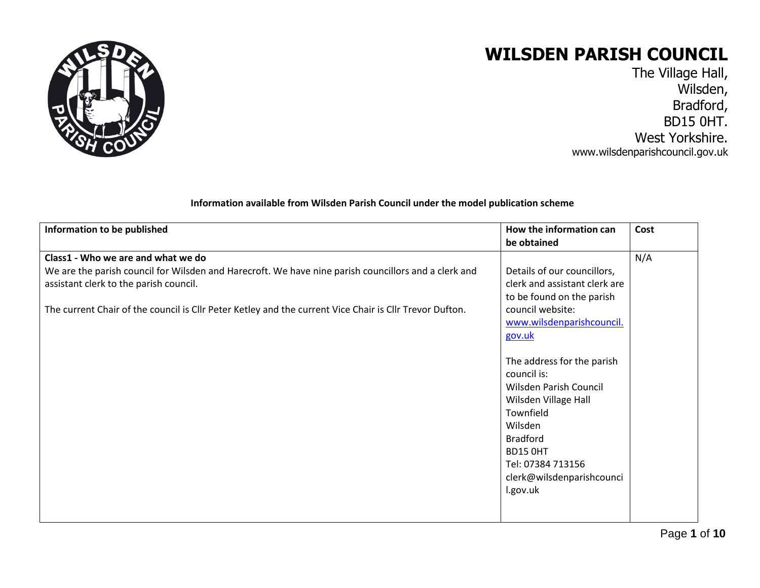

## **WILSDEN PARISH COUNCIL**

The Village Hall, Wilsden, Bradford, BD15 0HT. West Yorkshire. www.wilsdenparishcouncil.gov.uk

## **Information available from Wilsden Parish Council under the model publication scheme**

| Information to be published                                                                             | How the information can       | Cost |
|---------------------------------------------------------------------------------------------------------|-------------------------------|------|
|                                                                                                         | be obtained                   |      |
| Class1 - Who we are and what we do                                                                      |                               | N/A  |
| We are the parish council for Wilsden and Harecroft. We have nine parish councillors and a clerk and    | Details of our councillors,   |      |
| assistant clerk to the parish council.                                                                  | clerk and assistant clerk are |      |
|                                                                                                         | to be found on the parish     |      |
| The current Chair of the council is Cllr Peter Ketley and the current Vice Chair is Cllr Trevor Dufton. | council website:              |      |
|                                                                                                         | www.wilsdenparishcouncil.     |      |
|                                                                                                         | gov.uk                        |      |
|                                                                                                         |                               |      |
|                                                                                                         | The address for the parish    |      |
|                                                                                                         | council is:                   |      |
|                                                                                                         | Wilsden Parish Council        |      |
|                                                                                                         | Wilsden Village Hall          |      |
|                                                                                                         | Townfield                     |      |
|                                                                                                         | Wilsden                       |      |
|                                                                                                         | <b>Bradford</b>               |      |
|                                                                                                         | <b>BD15 OHT</b>               |      |
|                                                                                                         | Tel: 07384 713156             |      |
|                                                                                                         | clerk@wilsdenparishcounci     |      |
|                                                                                                         | I.gov.uk                      |      |
|                                                                                                         |                               |      |
|                                                                                                         |                               |      |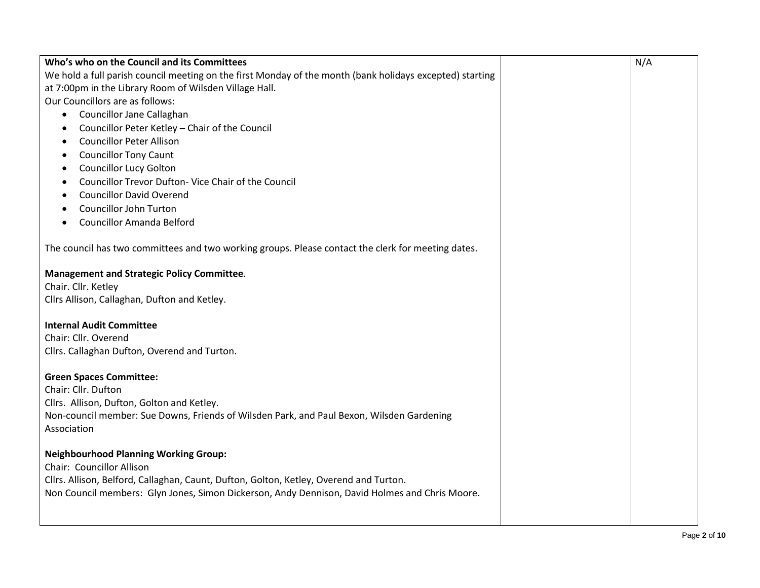| Who's who on the Council and its Committees                                                              | N/A |
|----------------------------------------------------------------------------------------------------------|-----|
| We hold a full parish council meeting on the first Monday of the month (bank holidays excepted) starting |     |
| at 7:00pm in the Library Room of Wilsden Village Hall.                                                   |     |
| Our Councillors are as follows:                                                                          |     |
| Councillor Jane Callaghan<br>$\bullet$                                                                   |     |
| Councillor Peter Ketley - Chair of the Council<br>$\bullet$                                              |     |
| <b>Councillor Peter Allison</b><br>$\bullet$                                                             |     |
| <b>Councillor Tony Caunt</b>                                                                             |     |
| <b>Councillor Lucy Golton</b><br>٠                                                                       |     |
| Councillor Trevor Dufton- Vice Chair of the Council                                                      |     |
| <b>Councillor David Overend</b>                                                                          |     |
| Councillor John Turton                                                                                   |     |
| <b>Councillor Amanda Belford</b>                                                                         |     |
|                                                                                                          |     |
| The council has two committees and two working groups. Please contact the clerk for meeting dates.       |     |
|                                                                                                          |     |
| <b>Management and Strategic Policy Committee.</b>                                                        |     |
| Chair. Cllr. Ketley                                                                                      |     |
| Cllrs Allison, Callaghan, Dufton and Ketley.                                                             |     |
|                                                                                                          |     |
| <b>Internal Audit Committee</b>                                                                          |     |
| Chair: Cllr. Overend                                                                                     |     |
| Cllrs. Callaghan Dufton, Overend and Turton.                                                             |     |
|                                                                                                          |     |
| <b>Green Spaces Committee:</b><br>Chair: Cllr. Dufton                                                    |     |
| Cllrs. Allison, Dufton, Golton and Ketley.                                                               |     |
| Non-council member: Sue Downs, Friends of Wilsden Park, and Paul Bexon, Wilsden Gardening                |     |
| Association                                                                                              |     |
|                                                                                                          |     |
| <b>Neighbourhood Planning Working Group:</b>                                                             |     |
| Chair: Councillor Allison                                                                                |     |
| Cllrs. Allison, Belford, Callaghan, Caunt, Dufton, Golton, Ketley, Overend and Turton.                   |     |
| Non Council members: Glyn Jones, Simon Dickerson, Andy Dennison, David Holmes and Chris Moore.           |     |
|                                                                                                          |     |
|                                                                                                          |     |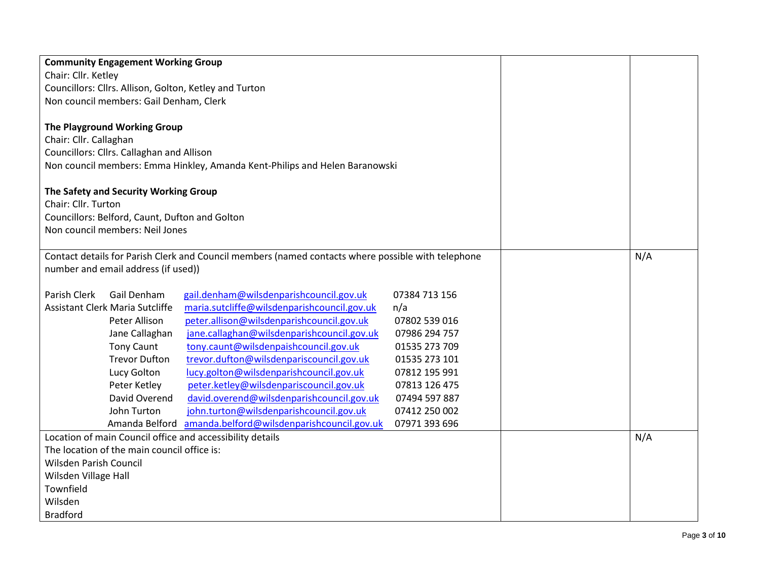| <b>Community Engagement Working Group</b>                 |                                                                                                    |               |     |
|-----------------------------------------------------------|----------------------------------------------------------------------------------------------------|---------------|-----|
| Chair: Cllr. Ketley                                       |                                                                                                    |               |     |
| Councillors: Cllrs. Allison, Golton, Ketley and Turton    |                                                                                                    |               |     |
| Non council members: Gail Denham, Clerk                   |                                                                                                    |               |     |
| The Playground Working Group                              |                                                                                                    |               |     |
| Chair: Cllr. Callaghan                                    |                                                                                                    |               |     |
| Councillors: Cllrs. Callaghan and Allison                 |                                                                                                    |               |     |
|                                                           | Non council members: Emma Hinkley, Amanda Kent-Philips and Helen Baranowski                        |               |     |
|                                                           |                                                                                                    |               |     |
| The Safety and Security Working Group                     |                                                                                                    |               |     |
| Chair: Cllr. Turton                                       |                                                                                                    |               |     |
| Councillors: Belford, Caunt, Dufton and Golton            |                                                                                                    |               |     |
| Non council members: Neil Jones                           |                                                                                                    |               |     |
|                                                           |                                                                                                    |               |     |
|                                                           | Contact details for Parish Clerk and Council members (named contacts where possible with telephone |               | N/A |
| number and email address (if used))                       |                                                                                                    |               |     |
|                                                           |                                                                                                    |               |     |
| Parish Clerk<br>Gail Denham                               | gail.denham@wilsdenparishcouncil.gov.uk                                                            | 07384 713 156 |     |
| <b>Assistant Clerk Maria Sutcliffe</b>                    | maria.sutcliffe@wilsdenparishcouncil.gov.uk                                                        | n/a           |     |
| Peter Allison                                             | peter.allison@wilsdenparishcouncil.gov.uk                                                          | 07802 539 016 |     |
| Jane Callaghan                                            | jane.callaghan@wilsdenparishcouncil.gov.uk                                                         | 07986 294 757 |     |
| <b>Tony Caunt</b>                                         | tony.caunt@wilsdenpaishcouncil.gov.uk                                                              | 01535 273 709 |     |
| <b>Trevor Dufton</b>                                      | trevor.dufton@wilsdenpariscouncil.gov.uk                                                           | 01535 273 101 |     |
| Lucy Golton                                               | lucy.golton@wilsdenparishcouncil.gov.uk                                                            | 07812 195 991 |     |
| Peter Ketley                                              | peter.ketley@wilsdenpariscouncil.gov.uk                                                            | 07813 126 475 |     |
| David Overend                                             | david.overend@wilsdenparishcouncil.gov.uk                                                          | 07494 597 887 |     |
| John Turton                                               | john.turton@wilsdenparishcouncil.gov.uk                                                            | 07412 250 002 |     |
| Amanda Belford                                            | amanda.belford@wilsdenparishcouncil.gov.uk                                                         | 07971 393 696 |     |
| Location of main Council office and accessibility details |                                                                                                    |               | N/A |
| The location of the main council office is:               |                                                                                                    |               |     |
| Wilsden Parish Council                                    |                                                                                                    |               |     |
| Wilsden Village Hall                                      |                                                                                                    |               |     |
| Townfield                                                 |                                                                                                    |               |     |
| Wilsden                                                   |                                                                                                    |               |     |
| <b>Bradford</b>                                           |                                                                                                    |               |     |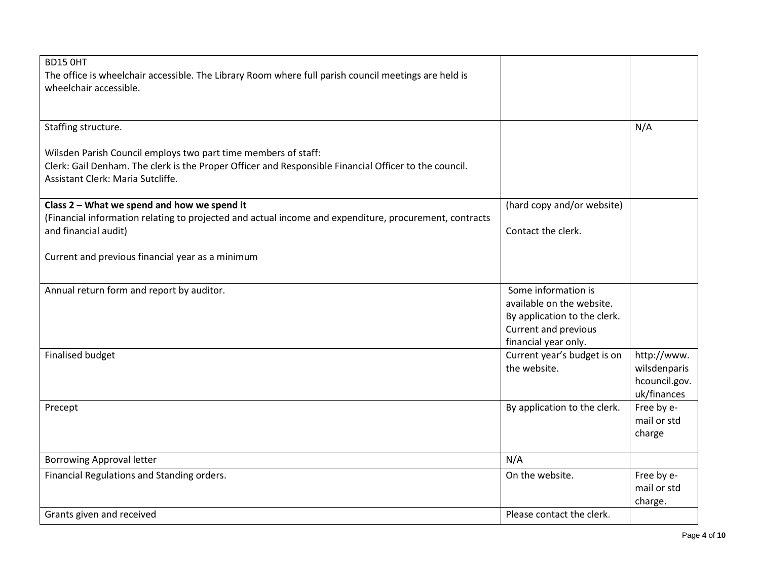| BD15 OHT                                                                                               |                              |               |
|--------------------------------------------------------------------------------------------------------|------------------------------|---------------|
| The office is wheelchair accessible. The Library Room where full parish council meetings are held is   |                              |               |
| wheelchair accessible.                                                                                 |                              |               |
|                                                                                                        |                              |               |
|                                                                                                        |                              |               |
|                                                                                                        |                              |               |
| Staffing structure.                                                                                    |                              | N/A           |
|                                                                                                        |                              |               |
| Wilsden Parish Council employs two part time members of staff:                                         |                              |               |
| Clerk: Gail Denham. The clerk is the Proper Officer and Responsible Financial Officer to the council.  |                              |               |
| Assistant Clerk: Maria Sutcliffe.                                                                      |                              |               |
|                                                                                                        |                              |               |
| Class 2 - What we spend and how we spend it                                                            | (hard copy and/or website)   |               |
| (Financial information relating to projected and actual income and expenditure, procurement, contracts |                              |               |
| and financial audit)                                                                                   | Contact the clerk.           |               |
|                                                                                                        |                              |               |
| Current and previous financial year as a minimum                                                       |                              |               |
|                                                                                                        |                              |               |
|                                                                                                        |                              |               |
| Annual return form and report by auditor.                                                              | Some information is          |               |
|                                                                                                        | available on the website.    |               |
|                                                                                                        | By application to the clerk. |               |
|                                                                                                        | Current and previous         |               |
|                                                                                                        | financial year only.         |               |
| <b>Finalised budget</b>                                                                                | Current year's budget is on  | http://www.   |
|                                                                                                        | the website.                 | wilsdenparis  |
|                                                                                                        |                              | hcouncil.gov. |
|                                                                                                        |                              | uk/finances   |
| Precept                                                                                                | By application to the clerk. | Free by e-    |
|                                                                                                        |                              | mail or std   |
|                                                                                                        |                              | charge        |
|                                                                                                        |                              |               |
| <b>Borrowing Approval letter</b>                                                                       | N/A                          |               |
| Financial Regulations and Standing orders.                                                             | On the website.              | Free by e-    |
|                                                                                                        |                              | mail or std   |
|                                                                                                        |                              | charge.       |
| Grants given and received                                                                              | Please contact the clerk.    |               |
|                                                                                                        |                              |               |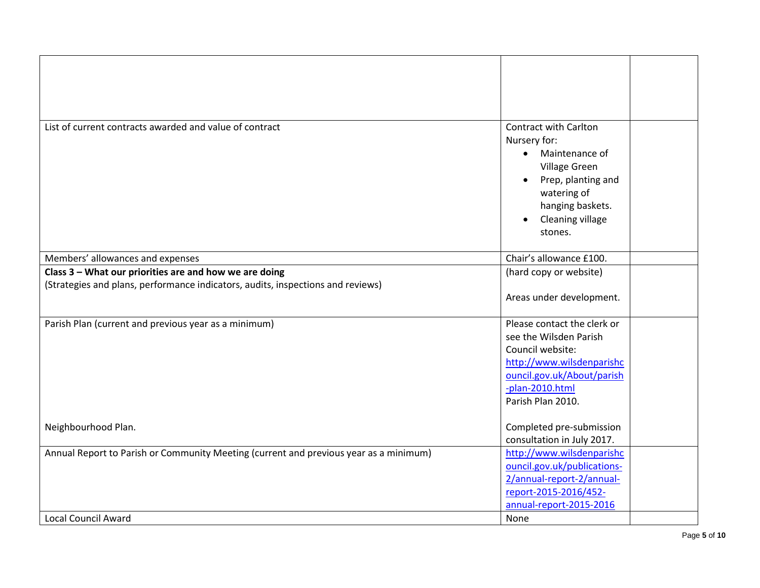| List of current contracts awarded and value of contract                               | <b>Contract with Carlton</b> |  |
|---------------------------------------------------------------------------------------|------------------------------|--|
|                                                                                       |                              |  |
|                                                                                       | Nursery for:                 |  |
|                                                                                       | Maintenance of<br>$\bullet$  |  |
|                                                                                       | Village Green                |  |
|                                                                                       | Prep, planting and           |  |
|                                                                                       | watering of                  |  |
|                                                                                       | hanging baskets.             |  |
|                                                                                       | Cleaning village             |  |
|                                                                                       | stones.                      |  |
|                                                                                       |                              |  |
| Members' allowances and expenses                                                      | Chair's allowance £100.      |  |
| Class 3 - What our priorities are and how we are doing                                | (hard copy or website)       |  |
| (Strategies and plans, performance indicators, audits, inspections and reviews)       |                              |  |
|                                                                                       | Areas under development.     |  |
|                                                                                       |                              |  |
| Parish Plan (current and previous year as a minimum)                                  | Please contact the clerk or  |  |
|                                                                                       | see the Wilsden Parish       |  |
|                                                                                       | Council website:             |  |
|                                                                                       | http://www.wilsdenparishc    |  |
|                                                                                       | ouncil.gov.uk/About/parish   |  |
|                                                                                       | -plan-2010.html              |  |
|                                                                                       | Parish Plan 2010.            |  |
|                                                                                       |                              |  |
| Neighbourhood Plan.                                                                   | Completed pre-submission     |  |
|                                                                                       | consultation in July 2017.   |  |
| Annual Report to Parish or Community Meeting (current and previous year as a minimum) | http://www.wilsdenparishc    |  |
|                                                                                       | ouncil.gov.uk/publications-  |  |
|                                                                                       | 2/annual-report-2/annual-    |  |
|                                                                                       | report-2015-2016/452-        |  |
|                                                                                       | annual-report-2015-2016      |  |
| <b>Local Council Award</b>                                                            | None                         |  |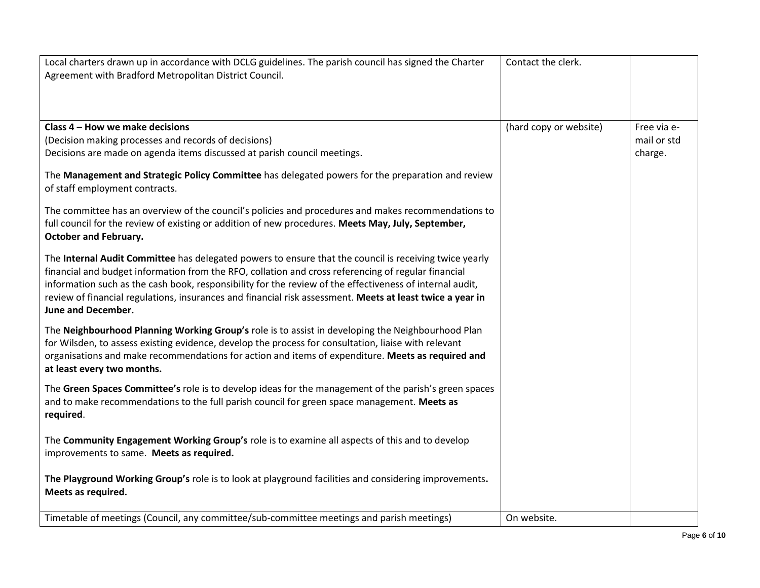| Local charters drawn up in accordance with DCLG guidelines. The parish council has signed the Charter                               | Contact the clerk.     |             |
|-------------------------------------------------------------------------------------------------------------------------------------|------------------------|-------------|
| Agreement with Bradford Metropolitan District Council.                                                                              |                        |             |
|                                                                                                                                     |                        |             |
|                                                                                                                                     |                        |             |
| Class 4 - How we make decisions                                                                                                     | (hard copy or website) | Free via e- |
| (Decision making processes and records of decisions)                                                                                |                        | mail or std |
| Decisions are made on agenda items discussed at parish council meetings.                                                            |                        | charge.     |
| The Management and Strategic Policy Committee has delegated powers for the preparation and review<br>of staff employment contracts. |                        |             |
| The committee has an overview of the council's policies and procedures and makes recommendations to                                 |                        |             |
| full council for the review of existing or addition of new procedures. Meets May, July, September,<br><b>October and February.</b>  |                        |             |
| The Internal Audit Committee has delegated powers to ensure that the council is receiving twice yearly                              |                        |             |
| financial and budget information from the RFO, collation and cross referencing of regular financial                                 |                        |             |
| information such as the cash book, responsibility for the review of the effectiveness of internal audit,                            |                        |             |
| review of financial regulations, insurances and financial risk assessment. Meets at least twice a year in                           |                        |             |
| <b>June and December.</b>                                                                                                           |                        |             |
| The Neighbourhood Planning Working Group's role is to assist in developing the Neighbourhood Plan                                   |                        |             |
| for Wilsden, to assess existing evidence, develop the process for consultation, liaise with relevant                                |                        |             |
| organisations and make recommendations for action and items of expenditure. Meets as required and                                   |                        |             |
| at least every two months.                                                                                                          |                        |             |
| The Green Spaces Committee's role is to develop ideas for the management of the parish's green spaces                               |                        |             |
| and to make recommendations to the full parish council for green space management. Meets as                                         |                        |             |
| required.                                                                                                                           |                        |             |
| The Community Engagement Working Group's role is to examine all aspects of this and to develop                                      |                        |             |
| improvements to same. Meets as required.                                                                                            |                        |             |
|                                                                                                                                     |                        |             |
| The Playground Working Group's role is to look at playground facilities and considering improvements.                               |                        |             |
| Meets as required.                                                                                                                  |                        |             |
| Timetable of meetings (Council, any committee/sub-committee meetings and parish meetings)                                           | On website.            |             |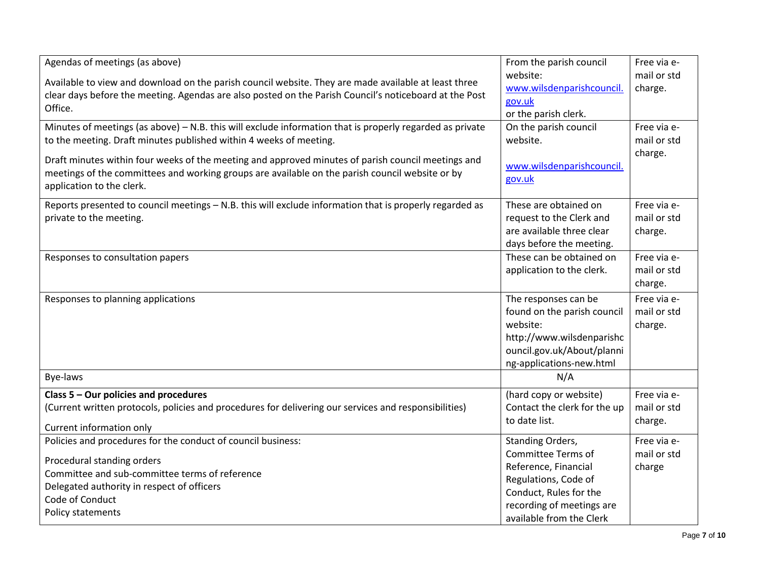| Agendas of meetings (as above)                                                                           | From the parish council      | Free via e- |
|----------------------------------------------------------------------------------------------------------|------------------------------|-------------|
|                                                                                                          | website:                     | mail or std |
| Available to view and download on the parish council website. They are made available at least three     | www.wilsdenparishcouncil.    | charge.     |
| clear days before the meeting. Agendas are also posted on the Parish Council's noticeboard at the Post   | gov.uk                       |             |
| Office.                                                                                                  | or the parish clerk.         |             |
| Minutes of meetings (as above) - N.B. this will exclude information that is properly regarded as private | On the parish council        | Free via e- |
| to the meeting. Draft minutes published within 4 weeks of meeting.                                       | website.                     | mail or std |
|                                                                                                          |                              | charge.     |
| Draft minutes within four weeks of the meeting and approved minutes of parish council meetings and       | www.wilsdenparishcouncil.    |             |
| meetings of the committees and working groups are available on the parish council website or by          | gov.uk                       |             |
| application to the clerk.                                                                                |                              |             |
| Reports presented to council meetings - N.B. this will exclude information that is properly regarded as  | These are obtained on        | Free via e- |
| private to the meeting.                                                                                  | request to the Clerk and     | mail or std |
|                                                                                                          | are available three clear    | charge.     |
|                                                                                                          | days before the meeting.     |             |
| Responses to consultation papers                                                                         | These can be obtained on     | Free via e- |
|                                                                                                          | application to the clerk.    | mail or std |
|                                                                                                          |                              | charge.     |
| Responses to planning applications                                                                       | The responses can be         | Free via e- |
|                                                                                                          | found on the parish council  | mail or std |
|                                                                                                          | website:                     | charge.     |
|                                                                                                          | http://www.wilsdenparishc    |             |
|                                                                                                          | ouncil.gov.uk/About/planni   |             |
|                                                                                                          | ng-applications-new.html     |             |
| Bye-laws                                                                                                 | N/A                          |             |
| Class 5 - Our policies and procedures                                                                    | (hard copy or website)       | Free via e- |
| (Current written protocols, policies and procedures for delivering our services and responsibilities)    | Contact the clerk for the up | mail or std |
|                                                                                                          | to date list.                | charge.     |
| Current information only                                                                                 |                              |             |
| Policies and procedures for the conduct of council business:                                             | Standing Orders,             | Free via e- |
| Procedural standing orders                                                                               | Committee Terms of           | mail or std |
| Committee and sub-committee terms of reference                                                           | Reference, Financial         | charge      |
| Delegated authority in respect of officers                                                               | Regulations, Code of         |             |
| Code of Conduct                                                                                          | Conduct, Rules for the       |             |
| Policy statements                                                                                        | recording of meetings are    |             |
|                                                                                                          | available from the Clerk     |             |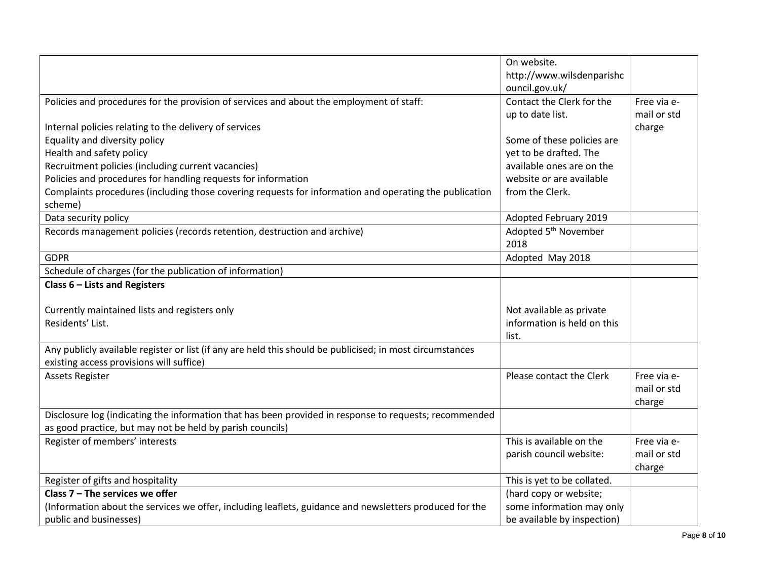|                                                                                                           | On website.                      |             |
|-----------------------------------------------------------------------------------------------------------|----------------------------------|-------------|
|                                                                                                           | http://www.wilsdenparishc        |             |
|                                                                                                           | ouncil.gov.uk/                   |             |
| Policies and procedures for the provision of services and about the employment of staff:                  | Contact the Clerk for the        | Free via e- |
|                                                                                                           | up to date list.                 | mail or std |
| Internal policies relating to the delivery of services                                                    |                                  | charge      |
| Equality and diversity policy                                                                             | Some of these policies are       |             |
| Health and safety policy                                                                                  | yet to be drafted. The           |             |
| Recruitment policies (including current vacancies)                                                        | available ones are on the        |             |
| Policies and procedures for handling requests for information                                             | website or are available         |             |
| Complaints procedures (including those covering requests for information and operating the publication    | from the Clerk.                  |             |
| scheme)                                                                                                   |                                  |             |
| Data security policy                                                                                      | Adopted February 2019            |             |
| Records management policies (records retention, destruction and archive)                                  | Adopted 5 <sup>th</sup> November |             |
|                                                                                                           | 2018                             |             |
| <b>GDPR</b>                                                                                               | Adopted May 2018                 |             |
| Schedule of charges (for the publication of information)                                                  |                                  |             |
| Class 6 - Lists and Registers                                                                             |                                  |             |
|                                                                                                           |                                  |             |
| Currently maintained lists and registers only                                                             | Not available as private         |             |
| Residents' List.                                                                                          | information is held on this      |             |
|                                                                                                           | list.                            |             |
| Any publicly available register or list (if any are held this should be publicised; in most circumstances |                                  |             |
| existing access provisions will suffice)                                                                  |                                  |             |
| <b>Assets Register</b>                                                                                    | Please contact the Clerk         | Free via e- |
|                                                                                                           |                                  | mail or std |
|                                                                                                           |                                  | charge      |
| Disclosure log (indicating the information that has been provided in response to requests; recommended    |                                  |             |
| as good practice, but may not be held by parish councils)                                                 |                                  |             |
| Register of members' interests                                                                            | This is available on the         | Free via e- |
|                                                                                                           | parish council website:          | mail or std |
|                                                                                                           |                                  | charge      |
| Register of gifts and hospitality                                                                         | This is yet to be collated.      |             |
| Class $7$ – The services we offer                                                                         | (hard copy or website;           |             |
| (Information about the services we offer, including leaflets, guidance and newsletters produced for the   | some information may only        |             |
| public and businesses)                                                                                    | be available by inspection)      |             |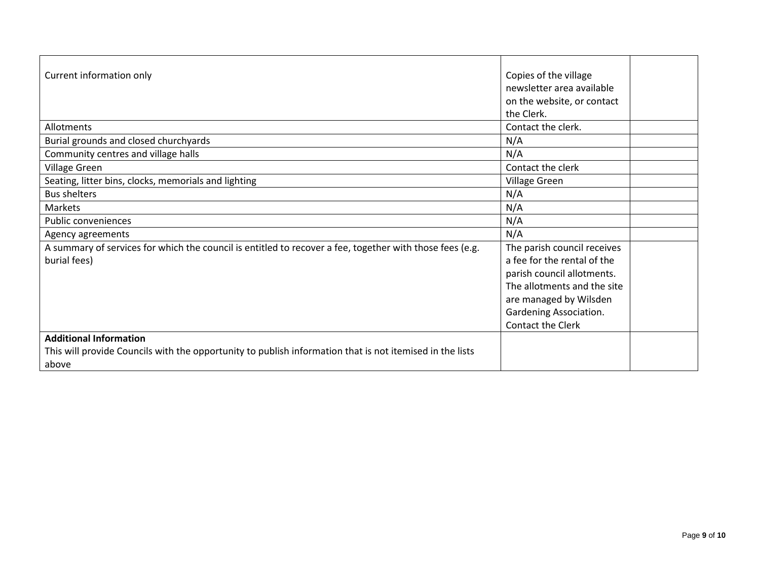| Current information only                                                                                 | Copies of the village       |
|----------------------------------------------------------------------------------------------------------|-----------------------------|
|                                                                                                          | newsletter area available   |
|                                                                                                          | on the website, or contact  |
|                                                                                                          | the Clerk.                  |
| Allotments                                                                                               | Contact the clerk.          |
| Burial grounds and closed churchyards                                                                    | N/A                         |
| Community centres and village halls                                                                      | N/A                         |
| Village Green                                                                                            | Contact the clerk           |
| Seating, litter bins, clocks, memorials and lighting                                                     | Village Green               |
| <b>Bus shelters</b>                                                                                      | N/A                         |
| Markets                                                                                                  | N/A                         |
| Public conveniences                                                                                      | N/A                         |
| Agency agreements                                                                                        | N/A                         |
| A summary of services for which the council is entitled to recover a fee, together with those fees (e.g. | The parish council receives |
| burial fees)                                                                                             | a fee for the rental of the |
|                                                                                                          | parish council allotments.  |
|                                                                                                          | The allotments and the site |
|                                                                                                          | are managed by Wilsden      |
|                                                                                                          | Gardening Association.      |
|                                                                                                          | Contact the Clerk           |
| <b>Additional Information</b>                                                                            |                             |
| This will provide Councils with the opportunity to publish information that is not itemised in the lists |                             |
| above                                                                                                    |                             |